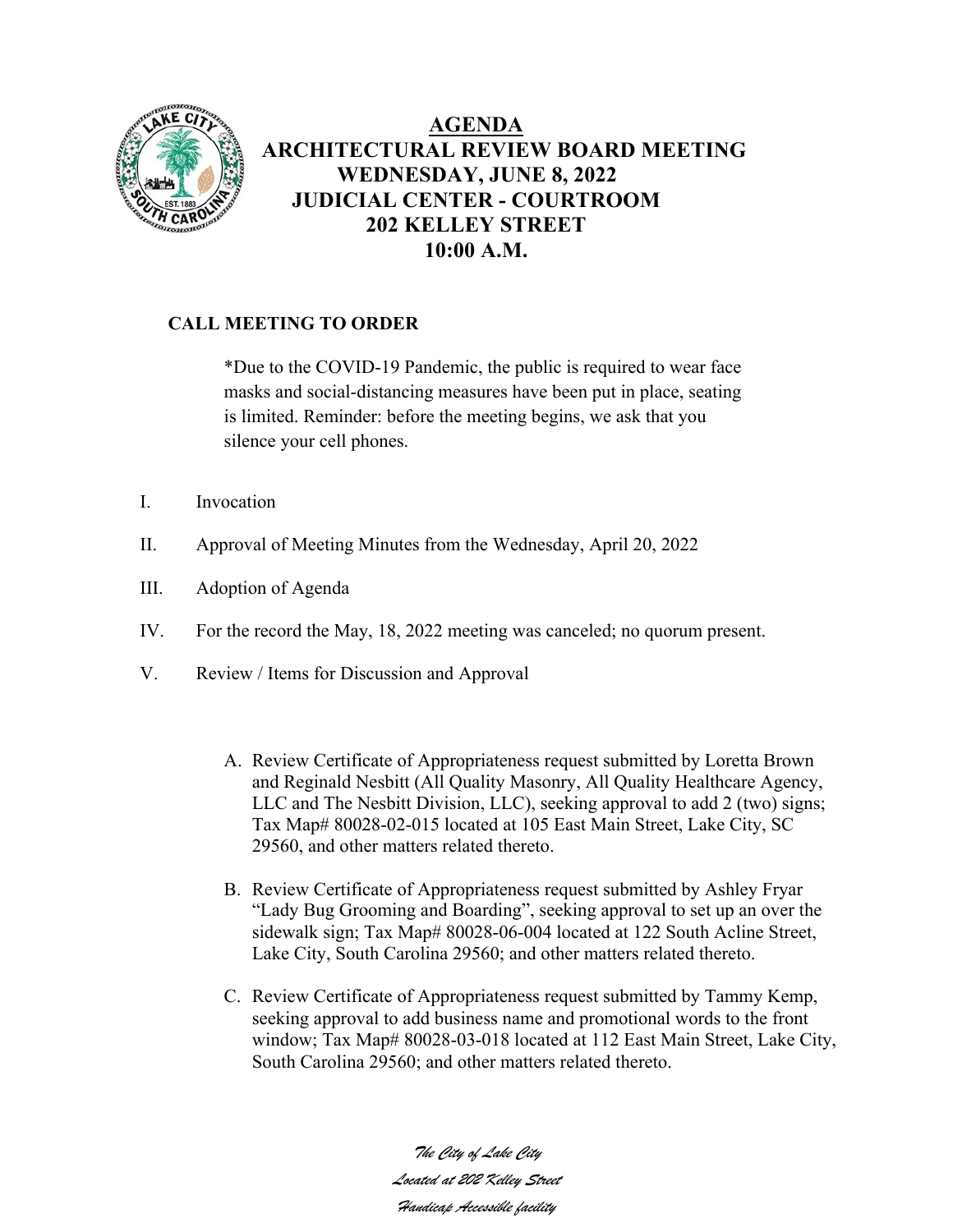

## **AGENDA ARCHITECTURAL REVIEW BOARD MEETING WEDNESDAY, JUNE 8, 2022 JUDICIAL CENTER - COURTROOM 202 KELLEY STREET 10:00 A.M.**

## **CALL MEETING TO ORDER**

\*Due to the COVID-19 Pandemic, the public is required to wear face masks and social-distancing measures have been put in place, seating is limited. Reminder: before the meeting begins, we ask that you silence your cell phones.

- I. Invocation
- II. Approval of Meeting Minutes from the Wednesday, April 20, 2022
- III. Adoption of Agenda
- IV. For the record the May, 18, 2022 meeting was canceled; no quorum present.
- V. Review / Items for Discussion and Approval
	- A. Review Certificate of Appropriateness request submitted by Loretta Brown and Reginald Nesbitt (All Quality Masonry, All Quality Healthcare Agency, LLC and The Nesbitt Division, LLC), seeking approval to add 2 (two) signs; Tax Map# 80028-02-015 located at 105 East Main Street, Lake City, SC 29560, and other matters related thereto.
	- B. Review Certificate of Appropriateness request submitted by Ashley Fryar "Lady Bug Grooming and Boarding", seeking approval to set up an over the sidewalk sign; Tax Map# 80028-06-004 located at 122 South Acline Street, Lake City, South Carolina 29560; and other matters related thereto.
	- C. Review Certificate of Appropriateness request submitted by Tammy Kemp, seeking approval to add business name and promotional words to the front window; Tax Map# 80028-03-018 located at 112 East Main Street, Lake City, South Carolina 29560; and other matters related thereto.

*The City of Lake City Located at 202 Kelley Street Handicap Accessible facility*